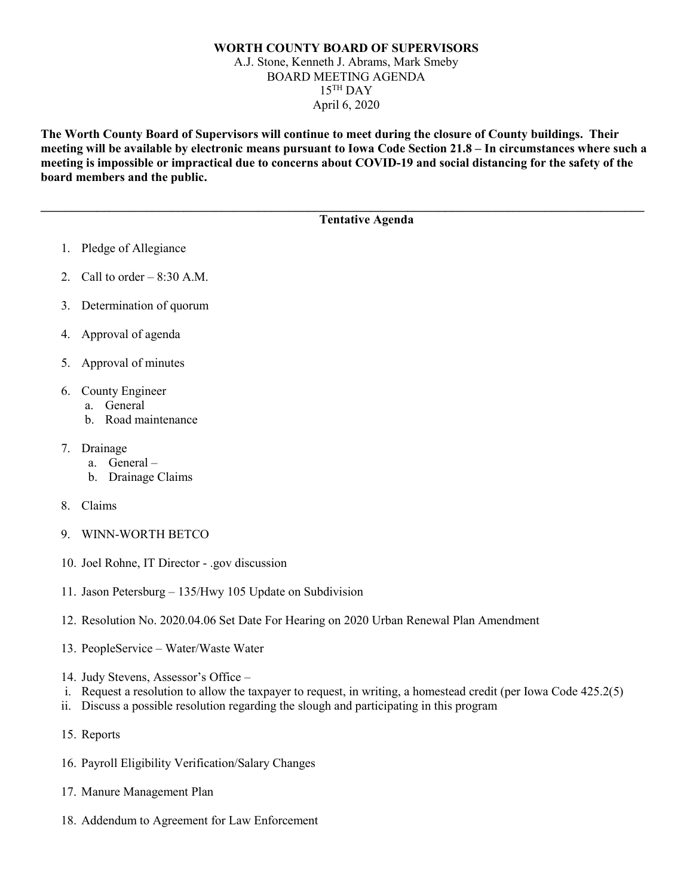## **WORTH COUNTY BOARD OF SUPERVISORS** A.J. Stone, Kenneth J. Abrams, Mark Smeby BOARD MEETING AGENDA  $15$ <sup>TH</sup> DAY April 6, 2020

**The Worth County Board of Supervisors will continue to meet during the closure of County buildings. Their meeting will be available by electronic means pursuant to Iowa Code Section 21.8 – In circumstances where such a meeting is impossible or impractical due to concerns about COVID-19 and social distancing for the safety of the board members and the public.** 

**\_\_\_\_\_\_\_\_\_\_\_\_\_\_\_\_\_\_\_\_\_\_\_\_\_\_\_\_\_\_\_\_\_\_\_\_\_\_\_\_\_\_\_\_\_\_\_\_\_\_\_\_\_\_\_\_\_\_\_\_\_\_\_\_\_\_\_\_\_\_\_\_\_\_\_\_\_\_\_\_\_\_\_\_\_\_\_\_\_\_\_\_\_\_\_\_\_**

## **Tentative Agenda**

- 1. Pledge of Allegiance
- 2. Call to order  $-8:30$  A.M.
- 3. Determination of quorum
- 4. Approval of agenda
- 5. Approval of minutes
- 6. County Engineer
	- a. General
	- b. Road maintenance
- 7. Drainage
	- a. General –
	- b. Drainage Claims
- 8. Claims
- 9. WINN-WORTH BETCO
- 10. Joel Rohne, IT Director .gov discussion
- 11. Jason Petersburg 135/Hwy 105 Update on Subdivision
- 12. Resolution No. 2020.04.06 Set Date For Hearing on 2020 Urban Renewal Plan Amendment
- 13. PeopleService Water/Waste Water
- 14. Judy Stevens, Assessor's Office –
- i. Request a resolution to allow the taxpayer to request, in writing, a homestead credit (per Iowa Code 425.2(5)
- ii. Discuss a possible resolution regarding the slough and participating in this program
- 15. Reports
- 16. Payroll Eligibility Verification/Salary Changes
- 17. Manure Management Plan
- 18. Addendum to Agreement for Law Enforcement